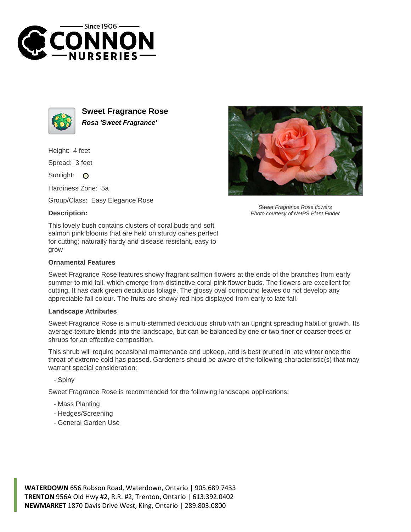



**Sweet Fragrance Rose Rosa 'Sweet Fragrance'**

Height: 4 feet

Spread: 3 feet

Sunlight: O

Hardiness Zone: 5a

Group/Class: Easy Elegance Rose

## **Description:**



Sweet Fragrance Rose flowers Photo courtesy of NetPS Plant Finder

This lovely bush contains clusters of coral buds and soft salmon pink blooms that are held on sturdy canes perfect for cutting; naturally hardy and disease resistant, easy to grow

## **Ornamental Features**

Sweet Fragrance Rose features showy fragrant salmon flowers at the ends of the branches from early summer to mid fall, which emerge from distinctive coral-pink flower buds. The flowers are excellent for cutting. It has dark green deciduous foliage. The glossy oval compound leaves do not develop any appreciable fall colour. The fruits are showy red hips displayed from early to late fall.

## **Landscape Attributes**

Sweet Fragrance Rose is a multi-stemmed deciduous shrub with an upright spreading habit of growth. Its average texture blends into the landscape, but can be balanced by one or two finer or coarser trees or shrubs for an effective composition.

This shrub will require occasional maintenance and upkeep, and is best pruned in late winter once the threat of extreme cold has passed. Gardeners should be aware of the following characteristic(s) that may warrant special consideration;

- Spiny

Sweet Fragrance Rose is recommended for the following landscape applications;

- Mass Planting
- Hedges/Screening
- General Garden Use

**WATERDOWN** 656 Robson Road, Waterdown, Ontario | 905.689.7433 **TRENTON** 956A Old Hwy #2, R.R. #2, Trenton, Ontario | 613.392.0402 **NEWMARKET** 1870 Davis Drive West, King, Ontario | 289.803.0800